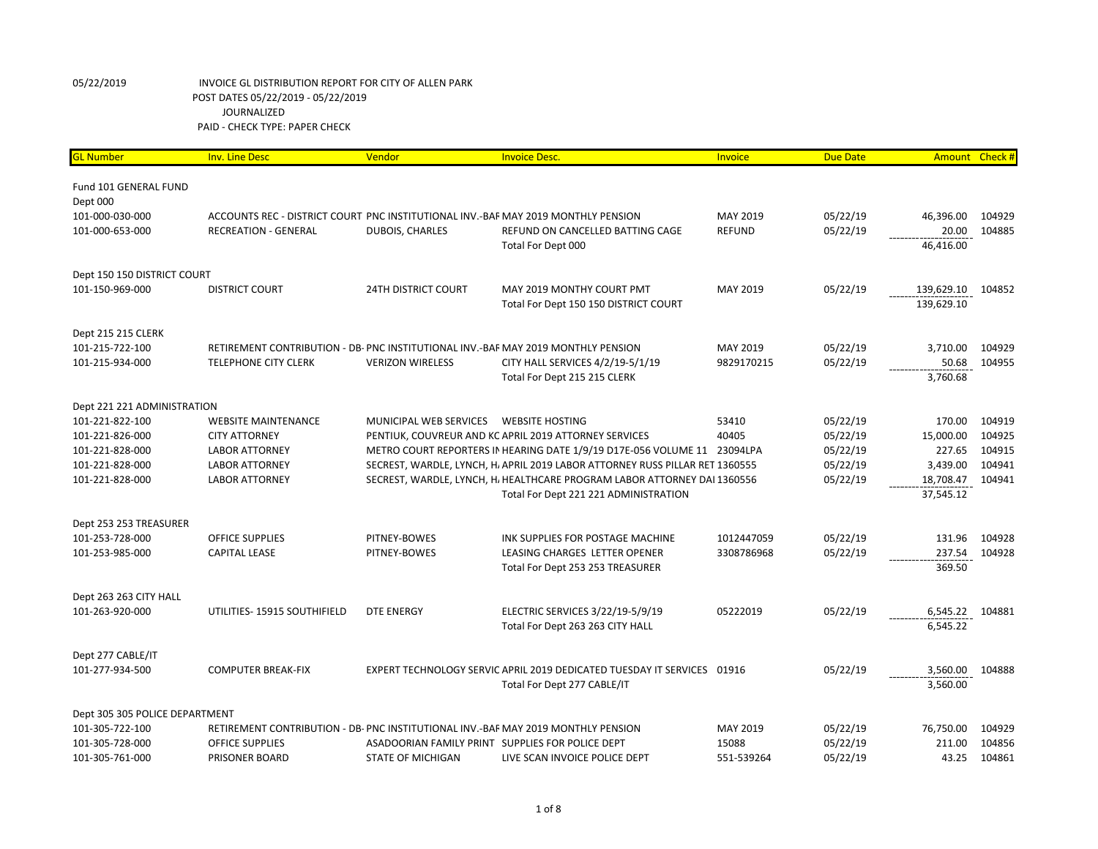## 05/22/2019 INVOICE GL DISTRIBUTION REPORT FOR CITY OF ALLEN PARK POST DATES 05/22/2019 - 05/22/2019 JOURNALIZED PAID - CHECK TYPE: PAPER CHECK

| <b>GL Number</b>                          | <b>Inv. Line Desc</b>                                                             | Vendor                     | <b>Invoice Desc.</b>                                                              | Invoice           | <b>Due Date</b>      | Amount          | Check#           |
|-------------------------------------------|-----------------------------------------------------------------------------------|----------------------------|-----------------------------------------------------------------------------------|-------------------|----------------------|-----------------|------------------|
|                                           |                                                                                   |                            |                                                                                   |                   |                      |                 |                  |
| Fund 101 GENERAL FUND                     |                                                                                   |                            |                                                                                   |                   |                      |                 |                  |
| Dept 000                                  |                                                                                   |                            |                                                                                   |                   |                      |                 |                  |
| 101-000-030-000                           | ACCOUNTS REC - DISTRICT COURT PNC INSTITUTIONAL INV.-BAF MAY 2019 MONTHLY PENSION |                            |                                                                                   | MAY 2019          | 05/22/19             | 46,396.00       | 104929           |
| 101-000-653-000                           | <b>RECREATION - GENERAL</b>                                                       | <b>DUBOIS, CHARLES</b>     | REFUND ON CANCELLED BATTING CAGE                                                  | <b>REFUND</b>     | 05/22/19             | 20.00           | 104885           |
|                                           |                                                                                   |                            | Total For Dept 000                                                                |                   |                      | 46,416.00       |                  |
| Dept 150 150 DISTRICT COURT               |                                                                                   |                            |                                                                                   |                   |                      |                 |                  |
| 101-150-969-000                           | <b>DISTRICT COURT</b>                                                             | <b>24TH DISTRICT COURT</b> | MAY 2019 MONTHY COURT PMT                                                         | MAY 2019          | 05/22/19             | 139,629.10      | 104852           |
|                                           |                                                                                   |                            | Total For Dept 150 150 DISTRICT COURT                                             |                   |                      | 139,629.10      |                  |
|                                           |                                                                                   |                            |                                                                                   |                   |                      |                 |                  |
| Dept 215 215 CLERK                        |                                                                                   |                            |                                                                                   |                   |                      |                 |                  |
| 101-215-722-100                           | RETIREMENT CONTRIBUTION - DB- PNC INSTITUTIONAL INV.-BAF MAY 2019 MONTHLY PENSION |                            |                                                                                   | MAY 2019          | 05/22/19             | 3,710.00        | 104929           |
| 101-215-934-000                           | <b>TELEPHONE CITY CLERK</b>                                                       | <b>VERIZON WIRELESS</b>    | CITY HALL SERVICES 4/2/19-5/1/19                                                  | 9829170215        | 05/22/19             | 50.68           | 104955           |
|                                           |                                                                                   |                            | Total For Dept 215 215 CLERK                                                      |                   |                      | 3,760.68        |                  |
| Dept 221 221 ADMINISTRATION               |                                                                                   |                            |                                                                                   |                   |                      |                 |                  |
| 101-221-822-100                           | <b>WEBSITE MAINTENANCE</b>                                                        | MUNICIPAL WEB SERVICES     | <b>WEBSITE HOSTING</b>                                                            | 53410             | 05/22/19             | 170.00          | 104919           |
| 101-221-826-000                           | <b>CITY ATTORNEY</b>                                                              |                            | PENTIUK, COUVREUR AND KC APRIL 2019 ATTORNEY SERVICES                             | 40405             | 05/22/19             | 15,000.00       | 104925           |
| 101-221-828-000                           | <b>LABOR ATTORNEY</b>                                                             |                            | METRO COURT REPORTERS IN HEARING DATE 1/9/19 D17E-056 VOLUME 11                   | 23094LPA          | 05/22/19             | 227.65          | 104915           |
| 101-221-828-000                           | <b>LABOR ATTORNEY</b>                                                             |                            | SECREST, WARDLE, LYNCH, H, APRIL 2019 LABOR ATTORNEY RUSS PILLAR RET 1360555      |                   | 05/22/19             | 3,439.00        | 104941           |
| 101-221-828-000                           | <b>LABOR ATTORNEY</b>                                                             |                            | SECREST, WARDLE, LYNCH, H. HEALTHCARE PROGRAM LABOR ATTORNEY DAI 1360556          |                   | 05/22/19             | 18,708.47       | 104941           |
|                                           |                                                                                   |                            | Total For Dept 221 221 ADMINISTRATION                                             |                   |                      | 37,545.12       |                  |
|                                           |                                                                                   |                            |                                                                                   |                   |                      |                 |                  |
| Dept 253 253 TREASURER<br>101-253-728-000 | <b>OFFICE SUPPLIES</b>                                                            | PITNEY-BOWES               | INK SUPPLIES FOR POSTAGE MACHINE                                                  | 1012447059        | 05/22/19             | 131.96          | 104928           |
| 101-253-985-000                           | <b>CAPITAL LEASE</b>                                                              | PITNEY-BOWES               | LEASING CHARGES LETTER OPENER                                                     | 3308786968        | 05/22/19             | 237.54          | 104928           |
|                                           |                                                                                   |                            | Total For Dept 253 253 TREASURER                                                  |                   |                      | 369.50          |                  |
|                                           |                                                                                   |                            |                                                                                   |                   |                      |                 |                  |
| Dept 263 263 CITY HALL                    |                                                                                   |                            |                                                                                   |                   |                      |                 |                  |
| 101-263-920-000                           | UTILITIES-15915 SOUTHIFIELD                                                       | <b>DTE ENERGY</b>          | ELECTRIC SERVICES 3/22/19-5/9/19                                                  | 05222019          | 05/22/19             | 6,545.22        | 104881           |
|                                           |                                                                                   |                            | Total For Dept 263 263 CITY HALL                                                  |                   |                      | 6,545.22        |                  |
| Dept 277 CABLE/IT                         |                                                                                   |                            |                                                                                   |                   |                      |                 |                  |
| 101-277-934-500                           | <b>COMPUTER BREAK-FIX</b>                                                         |                            | EXPERT TECHNOLOGY SERVIC APRIL 2019 DEDICATED TUESDAY IT SERVICES 01916           |                   | 05/22/19             | 3,560.00        | 104888           |
|                                           |                                                                                   |                            | Total For Dept 277 CABLE/IT                                                       |                   |                      | 3,560.00        |                  |
|                                           |                                                                                   |                            |                                                                                   |                   |                      |                 |                  |
| Dept 305 305 POLICE DEPARTMENT            |                                                                                   |                            |                                                                                   |                   |                      |                 |                  |
| 101-305-722-100                           | RETIREMENT CONTRIBUTION - DB- PNC INSTITUTIONAL INV.-BAF MAY 2019 MONTHLY PENSION |                            |                                                                                   | MAY 2019<br>15088 | 05/22/19             | 76,750.00       | 104929<br>104856 |
| 101-305-728-000<br>101-305-761-000        | <b>OFFICE SUPPLIES</b><br>PRISONER BOARD                                          | <b>STATE OF MICHIGAN</b>   | ASADOORIAN FAMILY PRINT SUPPLIES FOR POLICE DEPT<br>LIVE SCAN INVOICE POLICE DEPT | 551-539264        | 05/22/19<br>05/22/19 | 211.00<br>43.25 | 104861           |
|                                           |                                                                                   |                            |                                                                                   |                   |                      |                 |                  |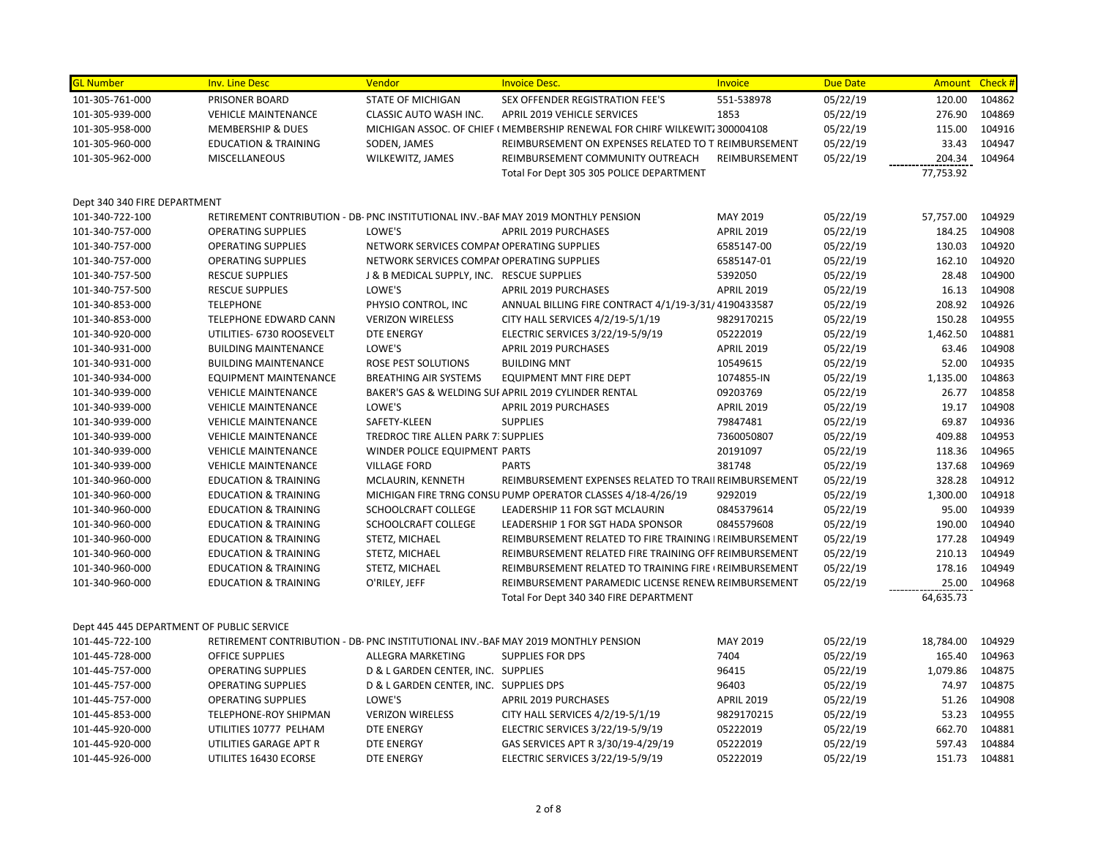| <b>GL Number</b>                                | <b>Inv. Line Desc</b>                                  | Vendor                                           | <b>Invoice Desc.</b>                                                              | Invoice                         | <b>Due Date</b> | Amount    | Check # |
|-------------------------------------------------|--------------------------------------------------------|--------------------------------------------------|-----------------------------------------------------------------------------------|---------------------------------|-----------------|-----------|---------|
| 101-305-761-000                                 | PRISONER BOARD                                         | <b>STATE OF MICHIGAN</b>                         | SEX OFFENDER REGISTRATION FEE'S                                                   | 551-538978                      | 05/22/19        | 120.00    | 104862  |
| 101-305-939-000                                 | <b>VEHICLE MAINTENANCE</b>                             | CLASSIC AUTO WASH INC.                           | APRIL 2019 VEHICLE SERVICES                                                       | 1853                            | 05/22/19        | 276.90    | 104869  |
| 101-305-958-000                                 | MEMBERSHIP & DUES                                      |                                                  | MICHIGAN ASSOC. OF CHIEF ( MEMBERSHIP RENEWAL FOR CHIRF WILKEWIT: 300004108       |                                 | 05/22/19        | 115.00    | 104916  |
| 101-305-960-000                                 | <b>EDUCATION &amp; TRAINING</b>                        | SODEN, JAMES                                     | REIMBURSEMENT ON EXPENSES RELATED TO T REIMBURSEMENT                              |                                 | 05/22/19        | 33.43     | 104947  |
| 101-305-962-000                                 | <b>MISCELLANEOUS</b>                                   | WILKEWITZ, JAMES                                 | REIMBURSEMENT COMMUNITY OUTREACH                                                  | REIMBURSEMENT                   | 05/22/19        | 204.34    | 104964  |
|                                                 |                                                        |                                                  | Total For Dept 305 305 POLICE DEPARTMENT                                          |                                 |                 | 77,753.92 |         |
|                                                 |                                                        |                                                  |                                                                                   |                                 |                 |           |         |
| Dept 340 340 FIRE DEPARTMENT<br>101-340-722-100 |                                                        |                                                  | RETIREMENT CONTRIBUTION - DB- PNC INSTITUTIONAL INV.-BAF MAY 2019 MONTHLY PENSION | MAY 2019                        | 05/22/19        | 57,757.00 | 104929  |
|                                                 |                                                        | LOWE'S                                           | <b>APRIL 2019 PURCHASES</b>                                                       |                                 | 05/22/19        | 184.25    | 104908  |
| 101-340-757-000<br>101-340-757-000              | <b>OPERATING SUPPLIES</b><br><b>OPERATING SUPPLIES</b> | NETWORK SERVICES COMPAI OPERATING SUPPLIES       |                                                                                   | <b>APRIL 2019</b><br>6585147-00 | 05/22/19        | 130.03    | 104920  |
|                                                 |                                                        |                                                  |                                                                                   |                                 |                 | 162.10    | 104920  |
| 101-340-757-000                                 | <b>OPERATING SUPPLIES</b>                              | NETWORK SERVICES COMPAI OPERATING SUPPLIES       |                                                                                   | 6585147-01                      | 05/22/19        | 28.48     | 104900  |
| 101-340-757-500                                 | <b>RESCUE SUPPLIES</b>                                 | J & B MEDICAL SUPPLY, INC. RESCUE SUPPLIES       |                                                                                   | 5392050                         | 05/22/19        |           |         |
| 101-340-757-500                                 | <b>RESCUE SUPPLIES</b>                                 | LOWE'S                                           | APRIL 2019 PURCHASES                                                              | <b>APRIL 2019</b>               | 05/22/19        | 16.13     | 104908  |
| 101-340-853-000                                 | <b>TELEPHONE</b>                                       | PHYSIO CONTROL, INC                              | ANNUAL BILLING FIRE CONTRACT 4/1/19-3/31/ 4190433587                              |                                 | 05/22/19        | 208.92    | 104926  |
| 101-340-853-000                                 | TELEPHONE EDWARD CANN                                  | <b>VERIZON WIRELESS</b>                          | CITY HALL SERVICES 4/2/19-5/1/19                                                  | 9829170215                      | 05/22/19        | 150.28    | 104955  |
| 101-340-920-000                                 | UTILITIES- 6730 ROOSEVELT                              | <b>DTE ENERGY</b>                                | ELECTRIC SERVICES 3/22/19-5/9/19                                                  | 05222019                        | 05/22/19        | 1,462.50  | 104881  |
| 101-340-931-000                                 | <b>BUILDING MAINTENANCE</b>                            | LOWE'S                                           | APRIL 2019 PURCHASES                                                              | <b>APRIL 2019</b>               | 05/22/19        | 63.46     | 104908  |
| 101-340-931-000                                 | <b>BUILDING MAINTENANCE</b>                            | ROSE PEST SOLUTIONS                              | <b>BUILDING MNT</b>                                                               | 10549615                        | 05/22/19        | 52.00     | 104935  |
| 101-340-934-000                                 | <b>EQUIPMENT MAINTENANCE</b>                           | <b>BREATHING AIR SYSTEMS</b>                     | <b>EQUIPMENT MNT FIRE DEPT</b>                                                    | 1074855-IN                      | 05/22/19        | 1,135.00  | 104863  |
| 101-340-939-000                                 | <b>VEHICLE MAINTENANCE</b>                             |                                                  | BAKER'S GAS & WELDING SUI APRIL 2019 CYLINDER RENTAL                              | 09203769                        | 05/22/19        | 26.77     | 104858  |
| 101-340-939-000                                 | <b>VEHICLE MAINTENANCE</b>                             | LOWE'S                                           | <b>APRIL 2019 PURCHASES</b>                                                       | <b>APRIL 2019</b>               | 05/22/19        | 19.17     | 104908  |
| 101-340-939-000                                 | <b>VEHICLE MAINTENANCE</b>                             | SAFETY-KLEEN                                     | <b>SUPPLIES</b>                                                                   | 79847481                        | 05/22/19        | 69.87     | 104936  |
| 101-340-939-000                                 | <b>VEHICLE MAINTENANCE</b>                             | TREDROC TIRE ALLEN PARK 7: SUPPLIES              |                                                                                   | 7360050807                      | 05/22/19        | 409.88    | 104953  |
| 101-340-939-000                                 | <b>VEHICLE MAINTENANCE</b>                             | WINDER POLICE EQUIPMENT PARTS                    |                                                                                   | 20191097                        | 05/22/19        | 118.36    | 104965  |
| 101-340-939-000                                 | <b>VEHICLE MAINTENANCE</b>                             | <b>VILLAGE FORD</b>                              | <b>PARTS</b>                                                                      | 381748                          | 05/22/19        | 137.68    | 104969  |
| 101-340-960-000                                 | <b>EDUCATION &amp; TRAINING</b>                        | MCLAURIN, KENNETH                                | REIMBURSEMENT EXPENSES RELATED TO TRAII REIMBURSEMENT                             |                                 | 05/22/19        | 328.28    | 104912  |
| 101-340-960-000                                 | <b>EDUCATION &amp; TRAINING</b>                        |                                                  | MICHIGAN FIRE TRNG CONSU PUMP OPERATOR CLASSES 4/18-4/26/19                       | 9292019                         | 05/22/19        | 1,300.00  | 104918  |
| 101-340-960-000                                 | <b>EDUCATION &amp; TRAINING</b>                        | SCHOOLCRAFT COLLEGE                              | LEADERSHIP 11 FOR SGT MCLAURIN                                                    | 0845379614                      | 05/22/19        | 95.00     | 104939  |
| 101-340-960-000                                 | <b>EDUCATION &amp; TRAINING</b>                        | SCHOOLCRAFT COLLEGE                              | LEADERSHIP 1 FOR SGT HADA SPONSOR                                                 | 0845579608                      | 05/22/19        | 190.00    | 104940  |
| 101-340-960-000                                 | <b>EDUCATION &amp; TRAINING</b>                        | STETZ, MICHAEL                                   | REIMBURSEMENT RELATED TO FIRE TRAINING   REIMBURSEMENT                            |                                 | 05/22/19        | 177.28    | 104949  |
| 101-340-960-000                                 | <b>EDUCATION &amp; TRAINING</b>                        | STETZ, MICHAEL                                   | REIMBURSEMENT RELATED FIRE TRAINING OFF REIMBURSEMENT                             |                                 | 05/22/19        | 210.13    | 104949  |
| 101-340-960-000                                 | <b>EDUCATION &amp; TRAINING</b>                        | STETZ, MICHAEL                                   | REIMBURSEMENT RELATED TO TRAINING FIRE (REIMBURSEMENT                             |                                 | 05/22/19        | 178.16    | 104949  |
| 101-340-960-000                                 | <b>EDUCATION &amp; TRAINING</b>                        | O'RILEY, JEFF                                    | REIMBURSEMENT PARAMEDIC LICENSE RENEW REIMBURSEMENT                               |                                 | 05/22/19        | 25.00     | 104968  |
|                                                 |                                                        |                                                  | Total For Dept 340 340 FIRE DEPARTMENT                                            |                                 |                 | 64,635.73 |         |
| Dept 445 445 DEPARTMENT OF PUBLIC SERVICE       |                                                        |                                                  |                                                                                   |                                 |                 |           |         |
| 101-445-722-100                                 |                                                        |                                                  | RETIREMENT CONTRIBUTION - DB- PNC INSTITUTIONAL INV.-BAF MAY 2019 MONTHLY PENSION | MAY 2019                        | 05/22/19        | 18,784.00 | 104929  |
| 101-445-728-000                                 | <b>OFFICE SUPPLIES</b>                                 | ALLEGRA MARKETING                                | <b>SUPPLIES FOR DPS</b>                                                           | 7404                            | 05/22/19        | 165.40    | 104963  |
| 101-445-757-000                                 | <b>OPERATING SUPPLIES</b>                              | D & L GARDEN CENTER, INC. SUPPLIES               |                                                                                   | 96415                           | 05/22/19        | 1,079.86  | 104875  |
| 101-445-757-000                                 |                                                        |                                                  |                                                                                   |                                 |                 | 74.97     | 104875  |
| 101-445-757-000                                 | <b>OPERATING SUPPLIES</b>                              | D & L GARDEN CENTER, INC. SUPPLIES DPS<br>LOWE'S | <b>APRIL 2019 PURCHASES</b>                                                       | 96403<br><b>APRIL 2019</b>      | 05/22/19        | 51.26     | 104908  |
|                                                 | <b>OPERATING SUPPLIES</b>                              |                                                  |                                                                                   |                                 | 05/22/19        | 53.23     | 104955  |
| 101-445-853-000                                 | TELEPHONE-ROY SHIPMAN                                  | <b>VERIZON WIRELESS</b>                          | CITY HALL SERVICES 4/2/19-5/1/19                                                  | 9829170215                      | 05/22/19        |           |         |
| 101-445-920-000                                 | UTILITIES 10777 PELHAM                                 | DTE ENERGY                                       | ELECTRIC SERVICES 3/22/19-5/9/19                                                  | 05222019                        | 05/22/19        | 662.70    | 104881  |
| 101-445-920-000                                 | UTILITIES GARAGE APT R                                 | DTE ENERGY                                       | GAS SERVICES APT R 3/30/19-4/29/19                                                | 05222019                        | 05/22/19        | 597.43    | 104884  |
| 101-445-926-000                                 | UTILITES 16430 ECORSE                                  | <b>DTE ENERGY</b>                                | ELECTRIC SERVICES 3/22/19-5/9/19                                                  | 05222019                        | 05/22/19        | 151.73    | 104881  |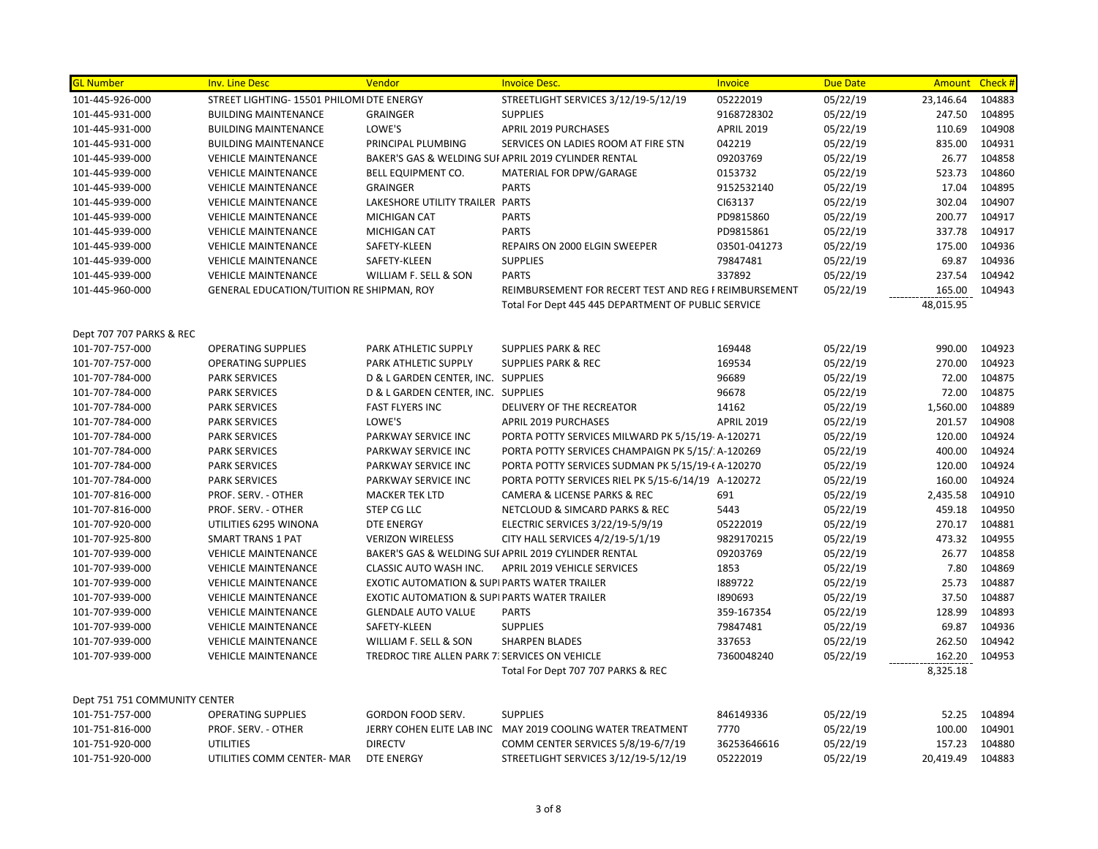| <mark>GL Number</mark>        | <b>Inv. Line Desc</b>                     | Vendor                                                 | <b>Invoice Desc.</b>                                       | Invoice           | <b>Due Date</b> | Amount    | Check # |
|-------------------------------|-------------------------------------------|--------------------------------------------------------|------------------------------------------------------------|-------------------|-----------------|-----------|---------|
| 101-445-926-000               | STREET LIGHTING- 15501 PHILOMI DTE ENERGY |                                                        | STREETLIGHT SERVICES 3/12/19-5/12/19                       | 05222019          | 05/22/19        | 23,146.64 | 104883  |
| 101-445-931-000               | <b>BUILDING MAINTENANCE</b>               | <b>GRAINGER</b>                                        | <b>SUPPLIES</b>                                            | 9168728302        | 05/22/19        | 247.50    | 104895  |
| 101-445-931-000               | <b>BUILDING MAINTENANCE</b>               | LOWE'S                                                 | APRIL 2019 PURCHASES                                       | <b>APRIL 2019</b> | 05/22/19        | 110.69    | 104908  |
| 101-445-931-000               | <b>BUILDING MAINTENANCE</b>               | PRINCIPAL PLUMBING                                     | SERVICES ON LADIES ROOM AT FIRE STN                        | 042219            | 05/22/19        | 835.00    | 104931  |
| 101-445-939-000               | <b>VEHICLE MAINTENANCE</b>                |                                                        | BAKER'S GAS & WELDING SUI APRIL 2019 CYLINDER RENTAL       | 09203769          | 05/22/19        | 26.77     | 104858  |
| 101-445-939-000               | <b>VEHICLE MAINTENANCE</b>                | BELL EQUIPMENT CO.                                     | MATERIAL FOR DPW/GARAGE                                    | 0153732           | 05/22/19        | 523.73    | 104860  |
| 101-445-939-000               | <b>VEHICLE MAINTENANCE</b>                | <b>GRAINGER</b>                                        | <b>PARTS</b>                                               | 9152532140        | 05/22/19        | 17.04     | 104895  |
| 101-445-939-000               | <b>VEHICLE MAINTENANCE</b>                | LAKESHORE UTILITY TRAILER PARTS                        |                                                            | CI63137           | 05/22/19        | 302.04    | 104907  |
| 101-445-939-000               | <b>VEHICLE MAINTENANCE</b>                | <b>MICHIGAN CAT</b>                                    | <b>PARTS</b>                                               | PD9815860         | 05/22/19        | 200.77    | 104917  |
| 101-445-939-000               | <b>VEHICLE MAINTENANCE</b>                | MICHIGAN CAT                                           | <b>PARTS</b>                                               | PD9815861         | 05/22/19        | 337.78    | 104917  |
| 101-445-939-000               | <b>VEHICLE MAINTENANCE</b>                | SAFETY-KLEEN                                           | <b>REPAIRS ON 2000 ELGIN SWEEPER</b>                       | 03501-041273      | 05/22/19        | 175.00    | 104936  |
| 101-445-939-000               | <b>VEHICLE MAINTENANCE</b>                | SAFETY-KLEEN                                           | <b>SUPPLIES</b>                                            | 79847481          | 05/22/19        | 69.87     | 104936  |
| 101-445-939-000               | <b>VEHICLE MAINTENANCE</b>                | WILLIAM F. SELL & SON                                  | <b>PARTS</b>                                               | 337892            | 05/22/19        | 237.54    | 104942  |
| 101-445-960-000               | GENERAL EDUCATION/TUITION RE SHIPMAN, ROY |                                                        | REIMBURSEMENT FOR RECERT TEST AND REG F REIMBURSEMENT      |                   | 05/22/19        | 165.00    | 104943  |
|                               |                                           |                                                        | Total For Dept 445 445 DEPARTMENT OF PUBLIC SERVICE        |                   |                 | 48,015.95 |         |
|                               |                                           |                                                        |                                                            |                   |                 |           |         |
| Dept 707 707 PARKS & REC      |                                           |                                                        |                                                            |                   |                 |           |         |
| 101-707-757-000               | <b>OPERATING SUPPLIES</b>                 | PARK ATHLETIC SUPPLY                                   | <b>SUPPLIES PARK &amp; REC</b>                             | 169448            | 05/22/19        | 990.00    | 104923  |
| 101-707-757-000               | <b>OPERATING SUPPLIES</b>                 | PARK ATHLETIC SUPPLY                                   | <b>SUPPLIES PARK &amp; REC</b>                             | 169534            | 05/22/19        | 270.00    | 104923  |
| 101-707-784-000               | <b>PARK SERVICES</b>                      | D & L GARDEN CENTER, INC. SUPPLIES                     |                                                            | 96689             | 05/22/19        | 72.00     | 104875  |
| 101-707-784-000               | <b>PARK SERVICES</b>                      | D & L GARDEN CENTER, INC. SUPPLIES                     |                                                            | 96678             | 05/22/19        | 72.00     | 104875  |
| 101-707-784-000               | <b>PARK SERVICES</b>                      | <b>FAST FLYERS INC</b>                                 | DELIVERY OF THE RECREATOR                                  | 14162             | 05/22/19        | 1,560.00  | 104889  |
| 101-707-784-000               | <b>PARK SERVICES</b>                      | LOWE'S                                                 | <b>APRIL 2019 PURCHASES</b>                                | <b>APRIL 2019</b> | 05/22/19        | 201.57    | 104908  |
| 101-707-784-000               | <b>PARK SERVICES</b>                      | PARKWAY SERVICE INC                                    | PORTA POTTY SERVICES MILWARD PK 5/15/19-A-120271           |                   | 05/22/19        | 120.00    | 104924  |
| 101-707-784-000               | <b>PARK SERVICES</b>                      | PARKWAY SERVICE INC                                    | PORTA POTTY SERVICES CHAMPAIGN PK 5/15/: A-120269          |                   | 05/22/19        | 400.00    | 104924  |
| 101-707-784-000               | <b>PARK SERVICES</b>                      | PARKWAY SERVICE INC                                    | PORTA POTTY SERVICES SUDMAN PK 5/15/19-6 A-120270          |                   | 05/22/19        | 120.00    | 104924  |
| 101-707-784-000               | <b>PARK SERVICES</b>                      | PARKWAY SERVICE INC                                    | PORTA POTTY SERVICES RIEL PK 5/15-6/14/19 A-120272         |                   | 05/22/19        | 160.00    | 104924  |
| 101-707-816-000               | PROF. SERV. - OTHER                       | <b>MACKER TEK LTD</b>                                  | CAMERA & LICENSE PARKS & REC                               | 691               | 05/22/19        | 2,435.58  | 104910  |
| 101-707-816-000               | PROF. SERV. - OTHER                       | STEP CG LLC                                            | NETCLOUD & SIMCARD PARKS & REC                             | 5443              | 05/22/19        | 459.18    | 104950  |
| 101-707-920-000               | UTILITIES 6295 WINONA                     | <b>DTE ENERGY</b>                                      | ELECTRIC SERVICES 3/22/19-5/9/19                           | 05222019          | 05/22/19        | 270.17    | 104881  |
| 101-707-925-800               | <b>SMART TRANS 1 PAT</b>                  | <b>VERIZON WIRELESS</b>                                | CITY HALL SERVICES 4/2/19-5/1/19                           | 9829170215        | 05/22/19        | 473.32    | 104955  |
| 101-707-939-000               | <b>VEHICLE MAINTENANCE</b>                |                                                        | BAKER'S GAS & WELDING SUI APRIL 2019 CYLINDER RENTAL       | 09203769          | 05/22/19        | 26.77     | 104858  |
| 101-707-939-000               | <b>VEHICLE MAINTENANCE</b>                | CLASSIC AUTO WASH INC.                                 | APRIL 2019 VEHICLE SERVICES                                | 1853              | 05/22/19        | 7.80      | 104869  |
| 101-707-939-000               | <b>VEHICLE MAINTENANCE</b>                | <b>EXOTIC AUTOMATION &amp; SUPIPARTS WATER TRAILER</b> |                                                            | 1889722           | 05/22/19        | 25.73     | 104887  |
| 101-707-939-000               | <b>VEHICLE MAINTENANCE</b>                | <b>EXOTIC AUTOMATION &amp; SUPIPARTS WATER TRAILER</b> |                                                            | 1890693           | 05/22/19        | 37.50     | 104887  |
| 101-707-939-000               | <b>VEHICLE MAINTENANCE</b>                | <b>GLENDALE AUTO VALUE</b>                             | <b>PARTS</b>                                               | 359-167354        | 05/22/19        | 128.99    | 104893  |
| 101-707-939-000               | <b>VEHICLE MAINTENANCE</b>                | SAFETY-KLEEN                                           | <b>SUPPLIES</b>                                            | 79847481          | 05/22/19        | 69.87     | 104936  |
| 101-707-939-000               | <b>VEHICLE MAINTENANCE</b>                | WILLIAM F. SELL & SON                                  | <b>SHARPEN BLADES</b>                                      | 337653            | 05/22/19        | 262.50    | 104942  |
| 101-707-939-000               | <b>VEHICLE MAINTENANCE</b>                | TREDROC TIRE ALLEN PARK 7: SERVICES ON VEHICLE         |                                                            | 7360048240        | 05/22/19        | 162.20    | 104953  |
|                               |                                           |                                                        | Total For Dept 707 707 PARKS & REC                         |                   |                 | 8,325.18  |         |
| Dept 751 751 COMMUNITY CENTER |                                           |                                                        |                                                            |                   |                 |           |         |
| 101-751-757-000               | <b>OPERATING SUPPLIES</b>                 | GORDON FOOD SERV.                                      | <b>SUPPLIES</b>                                            | 846149336         | 05/22/19        | 52.25     | 104894  |
| 101-751-816-000               | PROF. SERV. - OTHER                       |                                                        | JERRY COHEN ELITE LAB INC MAY 2019 COOLING WATER TREATMENT | 7770              | 05/22/19        | 100.00    | 104901  |
| 101-751-920-000               | <b>UTILITIES</b>                          | <b>DIRECTV</b>                                         | COMM CENTER SERVICES 5/8/19-6/7/19                         | 36253646616       | 05/22/19        | 157.23    | 104880  |
| 101-751-920-000               | UTILITIES COMM CENTER- MAR                | <b>DTE ENERGY</b>                                      | STREETLIGHT SERVICES 3/12/19-5/12/19                       | 05222019          | 05/22/19        | 20,419.49 | 104883  |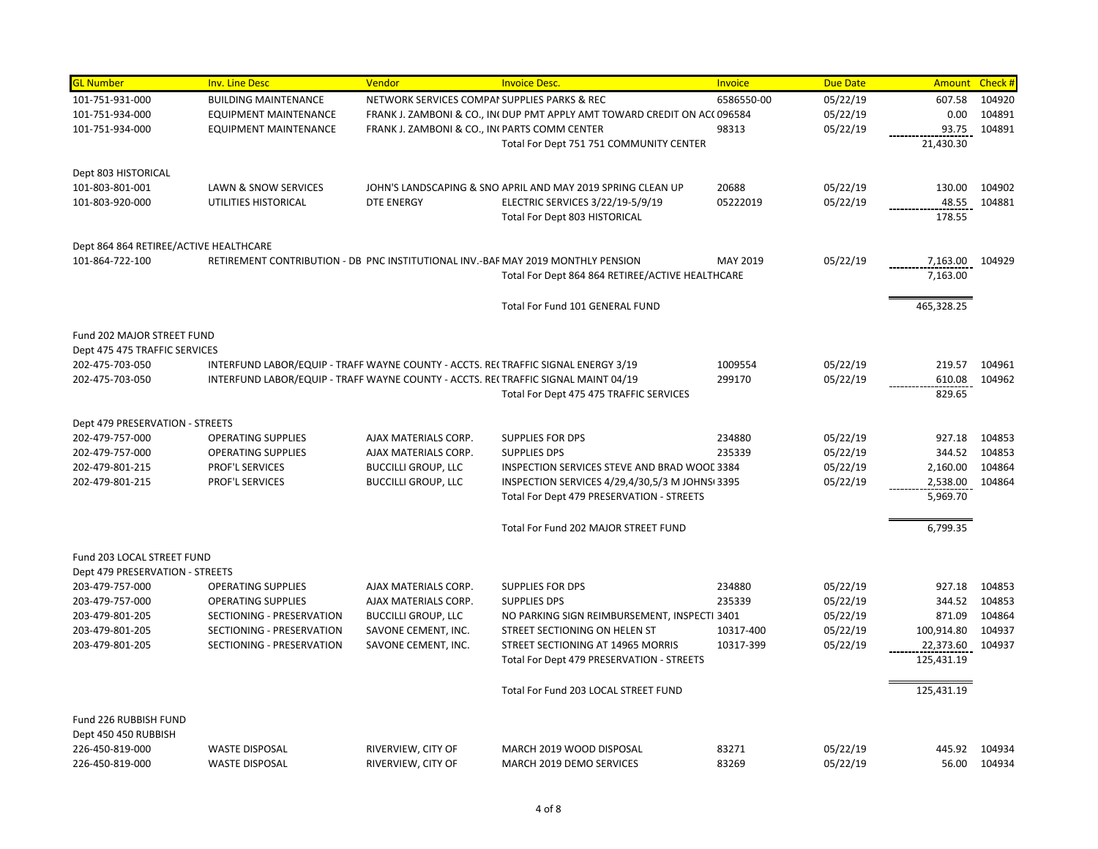| <b>GL Number</b>                       | <b>Inv. Line Desc</b>        | Vendor                                        | <b>Invoice Desc.</b>                                                               | Invoice    | <b>Due Date</b> | Amount     | Check # |
|----------------------------------------|------------------------------|-----------------------------------------------|------------------------------------------------------------------------------------|------------|-----------------|------------|---------|
| 101-751-931-000                        | <b>BUILDING MAINTENANCE</b>  | NETWORK SERVICES COMPAI SUPPLIES PARKS & REC  |                                                                                    | 6586550-00 | 05/22/19        | 607.58     | 104920  |
| 101-751-934-000                        | <b>EQUIPMENT MAINTENANCE</b> |                                               | FRANK J. ZAMBONI & CO., INI DUP PMT APPLY AMT TOWARD CREDIT ON ACI 096584          |            | 05/22/19        | 0.00       | 104891  |
| 101-751-934-000                        | <b>EQUIPMENT MAINTENANCE</b> | FRANK J. ZAMBONI & CO., INI PARTS COMM CENTER |                                                                                    | 98313      | 05/22/19        | 93.75      | 104891  |
|                                        |                              |                                               | Total For Dept 751 751 COMMUNITY CENTER                                            |            |                 | 21,430.30  |         |
| Dept 803 HISTORICAL                    |                              |                                               |                                                                                    |            |                 |            |         |
| 101-803-801-001                        | LAWN & SNOW SERVICES         |                                               | JOHN'S LANDSCAPING & SNO APRIL AND MAY 2019 SPRING CLEAN UP                        | 20688      | 05/22/19        | 130.00     | 104902  |
| 101-803-920-000                        | UTILITIES HISTORICAL         | <b>DTE ENERGY</b>                             | ELECTRIC SERVICES 3/22/19-5/9/19                                                   | 05222019   | 05/22/19        | 48.55      | 104881  |
|                                        |                              |                                               | Total For Dept 803 HISTORICAL                                                      |            |                 | 178.55     |         |
| Dept 864 864 RETIREE/ACTIVE HEALTHCARE |                              |                                               |                                                                                    |            |                 |            |         |
| 101-864-722-100                        |                              |                                               | RETIREMENT CONTRIBUTION - DB PNC INSTITUTIONAL INV.-BAF MAY 2019 MONTHLY PENSION   | MAY 2019   | 05/22/19        | 7,163.00   | 104929  |
|                                        |                              |                                               | Total For Dept 864 864 RETIREE/ACTIVE HEALTHCARE                                   |            |                 | 7,163.00   |         |
|                                        |                              |                                               | Total For Fund 101 GENERAL FUND                                                    |            |                 | 465,328.25 |         |
| Fund 202 MAJOR STREET FUND             |                              |                                               |                                                                                    |            |                 |            |         |
| Dept 475 475 TRAFFIC SERVICES          |                              |                                               |                                                                                    |            |                 |            |         |
| 202-475-703-050                        |                              |                                               | INTERFUND LABOR/EQUIP - TRAFF WAYNE COUNTY - ACCTS. RE(TRAFFIC SIGNAL ENERGY 3/19  | 1009554    | 05/22/19        | 219.57     | 104961  |
| 202-475-703-050                        |                              |                                               | INTERFUND LABOR/EQUIP - TRAFF WAYNE COUNTY - ACCTS. REI TRAFFIC SIGNAL MAINT 04/19 | 299170     | 05/22/19        | 610.08     | 104962  |
|                                        |                              |                                               | Total For Dept 475 475 TRAFFIC SERVICES                                            |            |                 | 829.65     |         |
| Dept 479 PRESERVATION - STREETS        |                              |                                               |                                                                                    |            |                 |            |         |
| 202-479-757-000                        | <b>OPERATING SUPPLIES</b>    | AJAX MATERIALS CORP.                          | <b>SUPPLIES FOR DPS</b>                                                            | 234880     | 05/22/19        | 927.18     | 104853  |
| 202-479-757-000                        | <b>OPERATING SUPPLIES</b>    | AJAX MATERIALS CORP.                          | <b>SUPPLIES DPS</b>                                                                | 235339     | 05/22/19        | 344.52     | 104853  |
| 202-479-801-215                        | PROF'L SERVICES              | <b>BUCCILLI GROUP, LLC</b>                    | INSPECTION SERVICES STEVE AND BRAD WOOL 3384                                       |            | 05/22/19        | 2,160.00   | 104864  |
| 202-479-801-215                        | PROF'L SERVICES              | <b>BUCCILLI GROUP, LLC</b>                    | INSPECTION SERVICES 4/29,4/30,5/3 M JOHNSI 3395                                    |            | 05/22/19        | 2,538.00   | 104864  |
|                                        |                              |                                               | Total For Dept 479 PRESERVATION - STREETS                                          |            |                 | 5,969.70   |         |
|                                        |                              |                                               | Total For Fund 202 MAJOR STREET FUND                                               |            |                 | 6,799.35   |         |
| Fund 203 LOCAL STREET FUND             |                              |                                               |                                                                                    |            |                 |            |         |
| Dept 479 PRESERVATION - STREETS        |                              |                                               |                                                                                    |            |                 |            |         |
| 203-479-757-000                        | <b>OPERATING SUPPLIES</b>    | AJAX MATERIALS CORP.                          | <b>SUPPLIES FOR DPS</b>                                                            | 234880     | 05/22/19        | 927.18     | 104853  |
| 203-479-757-000                        | <b>OPERATING SUPPLIES</b>    | AJAX MATERIALS CORP.                          | <b>SUPPLIES DPS</b>                                                                | 235339     | 05/22/19        | 344.52     | 104853  |
| 203-479-801-205                        | SECTIONING - PRESERVATION    | <b>BUCCILLI GROUP, LLC</b>                    | NO PARKING SIGN REIMBURSEMENT, INSPECTI 3401                                       |            | 05/22/19        | 871.09     | 104864  |
| 203-479-801-205                        | SECTIONING - PRESERVATION    | SAVONE CEMENT, INC.                           | STREET SECTIONING ON HELEN ST                                                      | 10317-400  | 05/22/19        | 100,914.80 | 104937  |
| 203-479-801-205                        | SECTIONING - PRESERVATION    | SAVONE CEMENT, INC.                           | STREET SECTIONING AT 14965 MORRIS                                                  | 10317-399  | 05/22/19        | 22,373.60  | 104937  |
|                                        |                              |                                               | Total For Dept 479 PRESERVATION - STREETS                                          |            |                 | 125,431.19 |         |
|                                        |                              |                                               | Total For Fund 203 LOCAL STREET FUND                                               |            |                 | 125,431.19 |         |
| Fund 226 RUBBISH FUND                  |                              |                                               |                                                                                    |            |                 |            |         |
| Dept 450 450 RUBBISH                   |                              |                                               |                                                                                    |            |                 |            |         |
| 226-450-819-000                        | <b>WASTE DISPOSAL</b>        | RIVERVIEW, CITY OF                            | MARCH 2019 WOOD DISPOSAL                                                           | 83271      | 05/22/19        | 445.92     | 104934  |
| 226-450-819-000                        | <b>WASTE DISPOSAL</b>        | RIVERVIEW, CITY OF                            | MARCH 2019 DEMO SERVICES                                                           | 83269      | 05/22/19        | 56.00      | 104934  |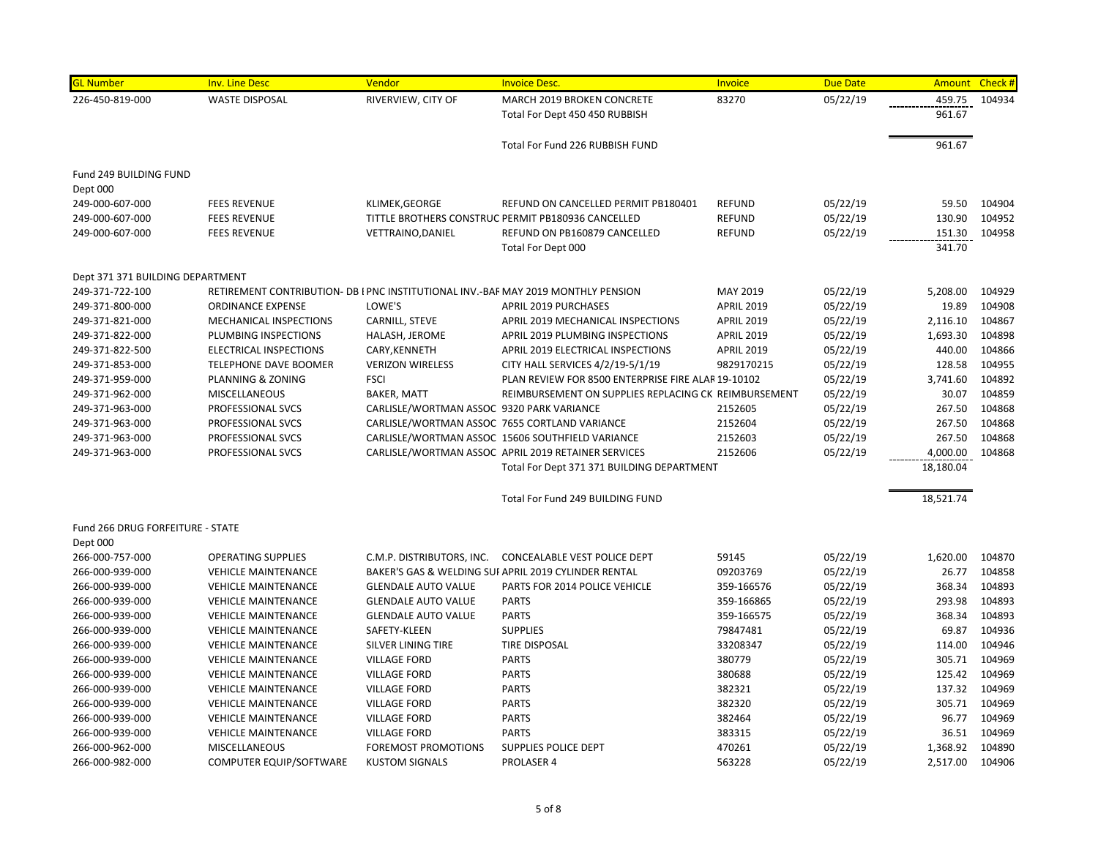| <b>GL Number</b>                 | <b>Inv. Line Desc</b>                                                             | Vendor                                    | <b>Invoice Desc.</b>                                 | Invoice           | <b>Due Date</b> |           | Amount Check # |
|----------------------------------|-----------------------------------------------------------------------------------|-------------------------------------------|------------------------------------------------------|-------------------|-----------------|-----------|----------------|
| 226-450-819-000                  | <b>WASTE DISPOSAL</b>                                                             | RIVERVIEW, CITY OF                        | MARCH 2019 BROKEN CONCRETE                           | 83270             | 05/22/19        | 459.75    | 104934         |
|                                  |                                                                                   |                                           | Total For Dept 450 450 RUBBISH                       |                   |                 | 961.67    |                |
|                                  |                                                                                   |                                           | Total For Fund 226 RUBBISH FUND                      |                   |                 | 961.67    |                |
| Fund 249 BUILDING FUND           |                                                                                   |                                           |                                                      |                   |                 |           |                |
| Dept 000                         |                                                                                   |                                           |                                                      |                   |                 |           |                |
| 249-000-607-000                  | <b>FEES REVENUE</b>                                                               | KLIMEK, GEORGE                            | REFUND ON CANCELLED PERMIT PB180401                  | <b>REFUND</b>     | 05/22/19        | 59.50     | 104904         |
| 249-000-607-000                  | <b>FEES REVENUE</b>                                                               |                                           | TITTLE BROTHERS CONSTRUC PERMIT PB180936 CANCELLED   | <b>REFUND</b>     | 05/22/19        | 130.90    | 104952         |
| 249-000-607-000                  | <b>FEES REVENUE</b>                                                               | <b>VETTRAINO, DANIEL</b>                  | REFUND ON PB160879 CANCELLED                         | <b>REFUND</b>     | 05/22/19        | 151.30    | 104958         |
|                                  |                                                                                   |                                           | Total For Dept 000                                   |                   |                 | 341.70    |                |
| Dept 371 371 BUILDING DEPARTMENT |                                                                                   |                                           |                                                      |                   |                 |           |                |
| 249-371-722-100                  | RETIREMENT CONTRIBUTION- DB I PNC INSTITUTIONAL INV.-BAF MAY 2019 MONTHLY PENSION |                                           |                                                      | MAY 2019          | 05/22/19        | 5,208.00  | 104929         |
| 249-371-800-000                  | <b>ORDINANCE EXPENSE</b>                                                          | LOWE'S                                    | <b>APRIL 2019 PURCHASES</b>                          | <b>APRIL 2019</b> | 05/22/19        | 19.89     | 104908         |
| 249-371-821-000                  | MECHANICAL INSPECTIONS                                                            | CARNILL, STEVE                            | APRIL 2019 MECHANICAL INSPECTIONS                    | <b>APRIL 2019</b> | 05/22/19        | 2,116.10  | 104867         |
| 249-371-822-000                  | PLUMBING INSPECTIONS                                                              | HALASH, JEROME                            | APRIL 2019 PLUMBING INSPECTIONS                      | <b>APRIL 2019</b> | 05/22/19        | 1,693.30  | 104898         |
| 249-371-822-500                  | <b>ELECTRICAL INSPECTIONS</b>                                                     | CARY, KENNETH                             | APRIL 2019 ELECTRICAL INSPECTIONS                    | <b>APRIL 2019</b> | 05/22/19        | 440.00    | 104866         |
| 249-371-853-000                  | <b>TELEPHONE DAVE BOOMER</b>                                                      | <b>VERIZON WIRELESS</b>                   | CITY HALL SERVICES 4/2/19-5/1/19                     | 9829170215        | 05/22/19        | 128.58    | 104955         |
| 249-371-959-000                  | PLANNING & ZONING                                                                 | <b>FSCI</b>                               | PLAN REVIEW FOR 8500 ENTERPRISE FIRE ALAR 19-10102   |                   | 05/22/19        | 3,741.60  | 104892         |
| 249-371-962-000                  | MISCELLANEOUS                                                                     | <b>BAKER, MATT</b>                        | REIMBURSEMENT ON SUPPLIES REPLACING CK REIMBURSEMENT |                   | 05/22/19        | 30.07     | 104859         |
| 249-371-963-000                  | PROFESSIONAL SVCS                                                                 | CARLISLE/WORTMAN ASSOC 9320 PARK VARIANCE |                                                      | 2152605           | 05/22/19        | 267.50    | 104868         |
| 249-371-963-000                  | PROFESSIONAL SVCS                                                                 |                                           | CARLISLE/WORTMAN ASSOC 7655 CORTLAND VARIANCE        | 2152604           | 05/22/19        | 267.50    | 104868         |
| 249-371-963-000                  | PROFESSIONAL SVCS                                                                 |                                           | CARLISLE/WORTMAN ASSOC 15606 SOUTHFIELD VARIANCE     | 2152603           | 05/22/19        | 267.50    | 104868         |
| 249-371-963-000                  | PROFESSIONAL SVCS                                                                 |                                           | CARLISLE/WORTMAN ASSOC APRIL 2019 RETAINER SERVICES  | 2152606           | 05/22/19        | 4,000.00  | 104868         |
|                                  |                                                                                   |                                           | Total For Dept 371 371 BUILDING DEPARTMENT           |                   |                 | 18,180.04 |                |
|                                  |                                                                                   |                                           | Total For Fund 249 BUILDING FUND                     |                   |                 | 18,521.74 |                |
| Fund 266 DRUG FORFEITURE - STATE |                                                                                   |                                           |                                                      |                   |                 |           |                |
| Dept 000                         |                                                                                   |                                           |                                                      |                   |                 |           |                |
| 266-000-757-000                  | <b>OPERATING SUPPLIES</b>                                                         | C.M.P. DISTRIBUTORS, INC.                 | <b>CONCEALABLE VEST POLICE DEPT</b>                  | 59145             | 05/22/19        | 1,620.00  | 104870         |
| 266-000-939-000                  | <b>VEHICLE MAINTENANCE</b>                                                        |                                           | BAKER'S GAS & WELDING SUI APRIL 2019 CYLINDER RENTAL | 09203769          | 05/22/19        | 26.77     | 104858         |
| 266-000-939-000                  | <b>VEHICLE MAINTENANCE</b>                                                        | <b>GLENDALE AUTO VALUE</b>                | PARTS FOR 2014 POLICE VEHICLE                        | 359-166576        | 05/22/19        | 368.34    | 104893         |
| 266-000-939-000                  | <b>VEHICLE MAINTENANCE</b>                                                        | <b>GLENDALE AUTO VALUE</b>                | <b>PARTS</b>                                         | 359-166865        | 05/22/19        | 293.98    | 104893         |
| 266-000-939-000                  | <b>VEHICLE MAINTENANCE</b>                                                        | <b>GLENDALE AUTO VALUE</b>                | <b>PARTS</b>                                         | 359-166575        | 05/22/19        | 368.34    | 104893         |
| 266-000-939-000                  | <b>VEHICLE MAINTENANCE</b>                                                        | SAFETY-KLEEN                              | <b>SUPPLIES</b>                                      | 79847481          | 05/22/19        | 69.87     | 104936         |
| 266-000-939-000                  | <b>VEHICLE MAINTENANCE</b>                                                        | SILVER LINING TIRE                        | <b>TIRE DISPOSAL</b>                                 | 33208347          | 05/22/19        | 114.00    | 104946         |
| 266-000-939-000                  | <b>VEHICLE MAINTENANCE</b>                                                        | <b>VILLAGE FORD</b>                       | <b>PARTS</b>                                         | 380779            | 05/22/19        | 305.71    | 104969         |
| 266-000-939-000                  | <b>VEHICLE MAINTENANCE</b>                                                        | <b>VILLAGE FORD</b>                       | <b>PARTS</b>                                         | 380688            | 05/22/19        | 125.42    | 104969         |
| 266-000-939-000                  | <b>VEHICLE MAINTENANCE</b>                                                        | <b>VILLAGE FORD</b>                       | <b>PARTS</b>                                         | 382321            | 05/22/19        | 137.32    | 104969         |
| 266-000-939-000                  | <b>VEHICLE MAINTENANCE</b>                                                        | <b>VILLAGE FORD</b>                       | <b>PARTS</b>                                         | 382320            | 05/22/19        | 305.71    | 104969         |
| 266-000-939-000                  | <b>VEHICLE MAINTENANCE</b>                                                        | <b>VILLAGE FORD</b>                       | <b>PARTS</b>                                         | 382464            | 05/22/19        | 96.77     | 104969         |
| 266-000-939-000                  | <b>VEHICLE MAINTENANCE</b>                                                        | <b>VILLAGE FORD</b>                       | <b>PARTS</b>                                         | 383315            | 05/22/19        | 36.51     | 104969         |
| 266-000-962-000                  | <b>MISCELLANEOUS</b>                                                              | <b>FOREMOST PROMOTIONS</b>                | <b>SUPPLIES POLICE DEPT</b>                          | 470261            | 05/22/19        | 1,368.92  | 104890         |
| 266-000-982-000                  | COMPUTER EQUIP/SOFTWARE                                                           | <b>KUSTOM SIGNALS</b>                     | <b>PROLASER 4</b>                                    | 563228            | 05/22/19        | 2,517.00  | 104906         |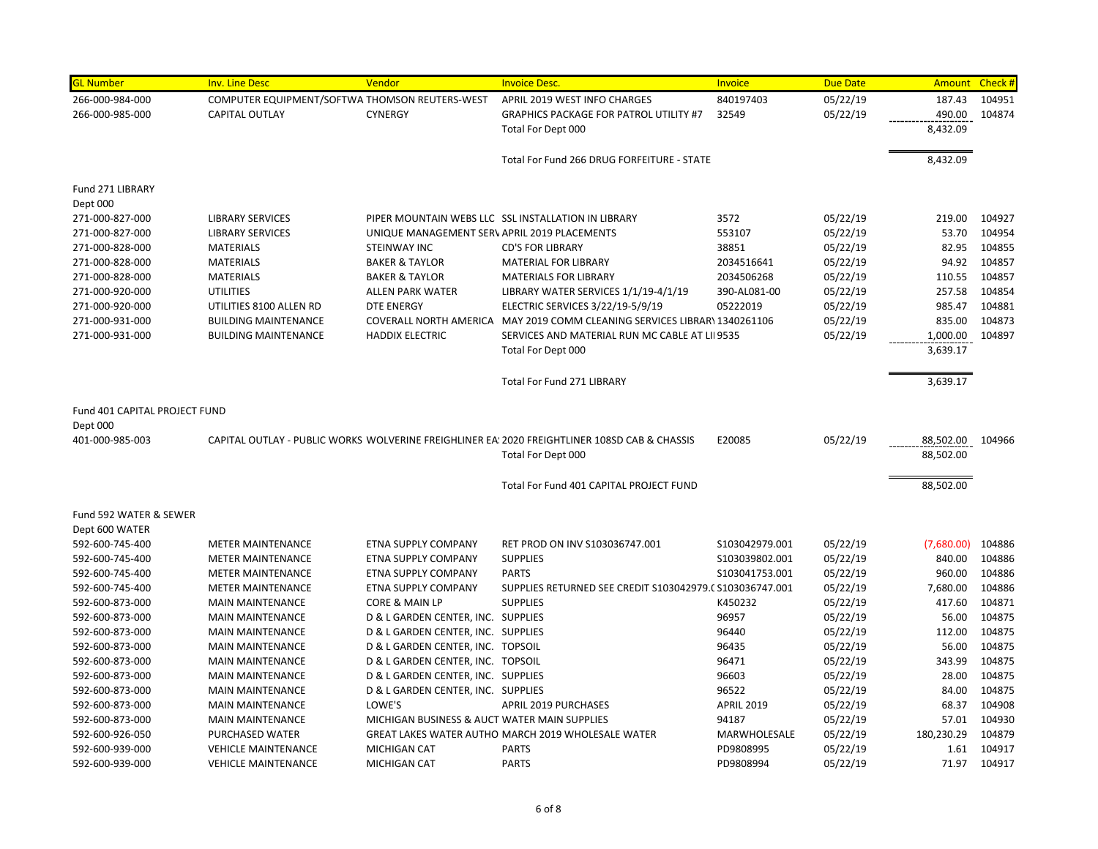| <b>GL Number</b>              | <b>Inv. Line Desc</b>                          | Vendor                                       | <b>Invoice Desc.</b>                                                                          | Invoice           | <b>Due Date</b> |            | Amount Check # |
|-------------------------------|------------------------------------------------|----------------------------------------------|-----------------------------------------------------------------------------------------------|-------------------|-----------------|------------|----------------|
| 266-000-984-000               | COMPUTER EQUIPMENT/SOFTWA THOMSON REUTERS-WEST |                                              | APRIL 2019 WEST INFO CHARGES                                                                  | 840197403         | 05/22/19        | 187.43     | 104951         |
| 266-000-985-000               | <b>CAPITAL OUTLAY</b>                          | <b>CYNERGY</b>                               | <b>GRAPHICS PACKAGE FOR PATROL UTILITY #7</b>                                                 | 32549             | 05/22/19        | 490.00     | 104874         |
|                               |                                                |                                              | Total For Dept 000                                                                            |                   |                 | 8,432.09   |                |
|                               |                                                |                                              |                                                                                               |                   |                 |            |                |
|                               |                                                |                                              | Total For Fund 266 DRUG FORFEITURE - STATE                                                    |                   |                 | 8,432.09   |                |
| Fund 271 LIBRARY              |                                                |                                              |                                                                                               |                   |                 |            |                |
| Dept 000                      |                                                |                                              |                                                                                               |                   |                 |            |                |
| 271-000-827-000               | <b>LIBRARY SERVICES</b>                        |                                              | PIPER MOUNTAIN WEBS LLC SSL INSTALLATION IN LIBRARY                                           | 3572              | 05/22/19        | 219.00     | 104927         |
| 271-000-827-000               | <b>LIBRARY SERVICES</b>                        | UNIQUE MANAGEMENT SERV APRIL 2019 PLACEMENTS |                                                                                               | 553107            | 05/22/19        | 53.70      | 104954         |
| 271-000-828-000               | <b>MATERIALS</b>                               | STEINWAY INC                                 | <b>CD'S FOR LIBRARY</b>                                                                       | 38851             | 05/22/19        | 82.95      | 104855         |
| 271-000-828-000               | <b>MATERIALS</b>                               | <b>BAKER &amp; TAYLOR</b>                    | <b>MATERIAL FOR LIBRARY</b>                                                                   | 2034516641        | 05/22/19        | 94.92      | 104857         |
| 271-000-828-000               | <b>MATERIALS</b>                               | <b>BAKER &amp; TAYLOR</b>                    | <b>MATERIALS FOR LIBRARY</b>                                                                  | 2034506268        | 05/22/19        | 110.55     | 104857         |
| 271-000-920-000               | <b>UTILITIES</b>                               | <b>ALLEN PARK WATER</b>                      | LIBRARY WATER SERVICES 1/1/19-4/1/19                                                          | 390-AL081-00      | 05/22/19        | 257.58     | 104854         |
| 271-000-920-000               | UTILITIES 8100 ALLEN RD                        | <b>DTE ENERGY</b>                            | ELECTRIC SERVICES 3/22/19-5/9/19                                                              | 05222019          | 05/22/19        | 985.47     | 104881         |
| 271-000-931-000               | <b>BUILDING MAINTENANCE</b>                    |                                              | COVERALL NORTH AMERICA MAY 2019 COMM CLEANING SERVICES LIBRAR\ 1340261106                     |                   | 05/22/19        | 835.00     | 104873         |
| 271-000-931-000               | <b>BUILDING MAINTENANCE</b>                    | <b>HADDIX ELECTRIC</b>                       | SERVICES AND MATERIAL RUN MC CABLE AT LII 9535                                                |                   | 05/22/19        | 1,000.00   | 104897         |
|                               |                                                |                                              | Total For Dept 000                                                                            |                   |                 | 3,639.17   |                |
|                               |                                                |                                              | <b>Total For Fund 271 LIBRARY</b>                                                             |                   |                 | 3,639.17   |                |
| Fund 401 CAPITAL PROJECT FUND |                                                |                                              |                                                                                               |                   |                 |            |                |
| Dept 000                      |                                                |                                              |                                                                                               |                   |                 |            |                |
| 401-000-985-003               |                                                |                                              | CAPITAL OUTLAY - PUBLIC WORKS WOLVERINE FREIGHLINER EA: 2020 FREIGHTLINER 108SD CAB & CHASSIS | E20085            | 05/22/19        | 88,502.00  | 104966         |
|                               |                                                |                                              | Total For Dept 000                                                                            |                   |                 | 88,502.00  |                |
|                               |                                                |                                              | Total For Fund 401 CAPITAL PROJECT FUND                                                       |                   |                 | 88,502.00  |                |
| Fund 592 WATER & SEWER        |                                                |                                              |                                                                                               |                   |                 |            |                |
| Dept 600 WATER                |                                                |                                              |                                                                                               |                   |                 |            |                |
| 592-600-745-400               | <b>METER MAINTENANCE</b>                       | ETNA SUPPLY COMPANY                          | RET PROD ON INV S103036747.001                                                                | S103042979.001    | 05/22/19        | (7,680.00) | 104886         |
| 592-600-745-400               | <b>METER MAINTENANCE</b>                       | ETNA SUPPLY COMPANY                          | <b>SUPPLIES</b>                                                                               | S103039802.001    | 05/22/19        | 840.00     | 104886         |
| 592-600-745-400               | <b>METER MAINTENANCE</b>                       | ETNA SUPPLY COMPANY                          | <b>PARTS</b>                                                                                  | S103041753.001    | 05/22/19        | 960.00     | 104886         |
| 592-600-745-400               | <b>METER MAINTENANCE</b>                       | ETNA SUPPLY COMPANY                          | SUPPLIES RETURNED SEE CREDIT S103042979.( S103036747.001                                      |                   | 05/22/19        | 7,680.00   | 104886         |
| 592-600-873-000               | <b>MAIN MAINTENANCE</b>                        | CORE & MAIN LP                               | <b>SUPPLIES</b>                                                                               | K450232           | 05/22/19        | 417.60     | 104871         |
| 592-600-873-000               | <b>MAIN MAINTENANCE</b>                        | D & L GARDEN CENTER, INC. SUPPLIES           |                                                                                               | 96957             | 05/22/19        | 56.00      | 104875         |
| 592-600-873-000               | <b>MAIN MAINTENANCE</b>                        | D & L GARDEN CENTER, INC. SUPPLIES           |                                                                                               | 96440             | 05/22/19        | 112.00     | 104875         |
| 592-600-873-000               | <b>MAIN MAINTENANCE</b>                        | D & L GARDEN CENTER, INC. TOPSOIL            |                                                                                               | 96435             | 05/22/19        | 56.00      | 104875         |
| 592-600-873-000               | <b>MAIN MAINTENANCE</b>                        | D & L GARDEN CENTER, INC. TOPSOIL            |                                                                                               | 96471             | 05/22/19        | 343.99     | 104875         |
| 592-600-873-000               | <b>MAIN MAINTENANCE</b>                        | D & L GARDEN CENTER, INC. SUPPLIES           |                                                                                               | 96603             | 05/22/19        | 28.00      | 104875         |
| 592-600-873-000               | <b>MAIN MAINTENANCE</b>                        | D & L GARDEN CENTER, INC. SUPPLIES           |                                                                                               | 96522             | 05/22/19        | 84.00      | 104875         |
| 592-600-873-000               | <b>MAIN MAINTENANCE</b>                        | LOWE'S                                       | <b>APRIL 2019 PURCHASES</b>                                                                   | <b>APRIL 2019</b> | 05/22/19        | 68.37      | 104908         |
| 592-600-873-000               | <b>MAIN MAINTENANCE</b>                        | MICHIGAN BUSINESS & AUCT WATER MAIN SUPPLIES |                                                                                               | 94187             | 05/22/19        | 57.01      | 104930         |
| 592-600-926-050               | PURCHASED WATER                                |                                              | GREAT LAKES WATER AUTHO MARCH 2019 WHOLESALE WATER                                            | MARWHOLESALE      | 05/22/19        | 180,230.29 | 104879         |
| 592-600-939-000               | <b>VEHICLE MAINTENANCE</b>                     | <b>MICHIGAN CAT</b>                          | <b>PARTS</b>                                                                                  | PD9808995         | 05/22/19        | 1.61       | 104917         |
| 592-600-939-000               | <b>VEHICLE MAINTENANCE</b>                     | <b>MICHIGAN CAT</b>                          | <b>PARTS</b>                                                                                  | PD9808994         | 05/22/19        | 71.97      | 104917         |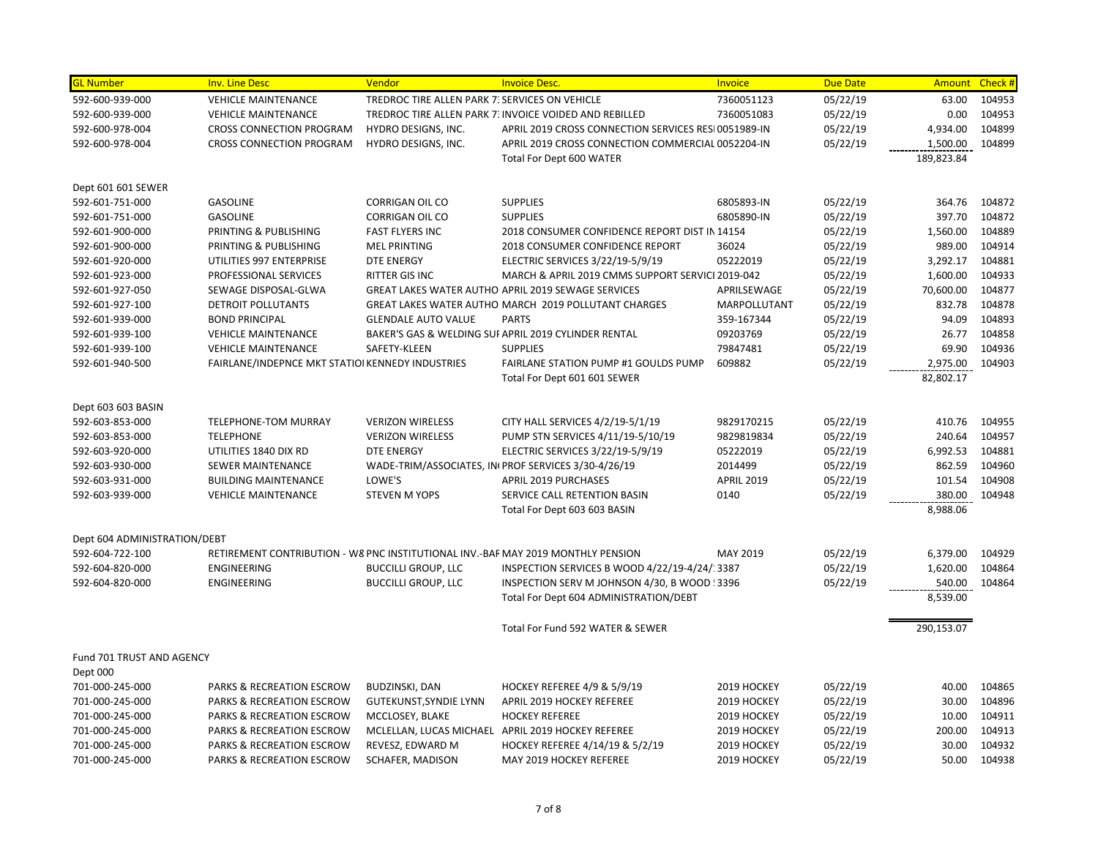| <b>GL Number</b>                      | <b>Inv. Line Desc</b>                                                            | Vendor                                           | <b>Invoice Desc.</b>                                                | Invoice           | <b>Due Date</b> | <b>Amount</b> | Check # |
|---------------------------------------|----------------------------------------------------------------------------------|--------------------------------------------------|---------------------------------------------------------------------|-------------------|-----------------|---------------|---------|
| 592-600-939-000                       | <b>VEHICLE MAINTENANCE</b>                                                       | TREDROC TIRE ALLEN PARK 7. SERVICES ON VEHICLE   |                                                                     | 7360051123        | 05/22/19        | 63.00         | 104953  |
| 592-600-939-000                       | <b>VEHICLE MAINTENANCE</b>                                                       |                                                  | TREDROC TIRE ALLEN PARK 7. INVOICE VOIDED AND REBILLED              | 7360051083        | 05/22/19        | 0.00          | 104953  |
| 592-600-978-004                       | <b>CROSS CONNECTION PROGRAM</b>                                                  | HYDRO DESIGNS, INC.                              | APRIL 2019 CROSS CONNECTION SERVICES RESI 0051989-IN                |                   | 05/22/19        | 4,934.00      | 104899  |
| 592-600-978-004                       | <b>CROSS CONNECTION PROGRAM</b>                                                  | HYDRO DESIGNS, INC.                              | APRIL 2019 CROSS CONNECTION COMMERCIAL 0052204-IN                   |                   | 05/22/19        | 1,500.00      | 104899  |
|                                       |                                                                                  |                                                  | Total For Dept 600 WATER                                            |                   |                 | 189,823.84    |         |
|                                       |                                                                                  |                                                  |                                                                     |                   |                 |               |         |
| Dept 601 601 SEWER<br>592-601-751-000 | <b>GASOLINE</b>                                                                  | <b>CORRIGAN OIL CO</b>                           | <b>SUPPLIES</b>                                                     | 6805893-IN        | 05/22/19        | 364.76        | 104872  |
| 592-601-751-000                       | <b>GASOLINE</b>                                                                  | CORRIGAN OIL CO                                  | <b>SUPPLIES</b>                                                     | 6805890-IN        | 05/22/19        | 397.70        | 104872  |
| 592-601-900-000                       | PRINTING & PUBLISHING                                                            | <b>FAST FLYERS INC</b>                           | 2018 CONSUMER CONFIDENCE REPORT DIST IN 14154                       |                   | 05/22/19        | 1,560.00      | 104889  |
| 592-601-900-000                       | PRINTING & PUBLISHING                                                            | <b>MEL PRINTING</b>                              | 2018 CONSUMER CONFIDENCE REPORT                                     | 36024             | 05/22/19        | 989.00        | 104914  |
|                                       |                                                                                  | <b>DTE ENERGY</b>                                |                                                                     | 05222019          |                 | 3,292.17      | 104881  |
| 592-601-920-000                       | UTILITIES 997 ENTERPRISE                                                         |                                                  | ELECTRIC SERVICES 3/22/19-5/9/19                                    |                   | 05/22/19        | 1,600.00      | 104933  |
| 592-601-923-000                       | PROFESSIONAL SERVICES                                                            | RITTER GIS INC                                   | MARCH & APRIL 2019 CMMS SUPPORT SERVICI 2019-042                    |                   | 05/22/19        |               |         |
| 592-601-927-050                       | SEWAGE DISPOSAL-GLWA                                                             |                                                  | GREAT LAKES WATER AUTHO APRIL 2019 SEWAGE SERVICES                  | APRILSEWAGE       | 05/22/19        | 70,600.00     | 104877  |
| 592-601-927-100                       | DETROIT POLLUTANTS                                                               |                                                  | GREAT LAKES WATER AUTHO MARCH 2019 POLLUTANT CHARGES                | MARPOLLUTANT      | 05/22/19        | 832.78        | 104878  |
| 592-601-939-000                       | <b>BOND PRINCIPAL</b>                                                            | <b>GLENDALE AUTO VALUE</b>                       | <b>PARTS</b>                                                        | 359-167344        | 05/22/19        | 94.09         | 104893  |
| 592-601-939-100                       | <b>VEHICLE MAINTENANCE</b>                                                       |                                                  | BAKER'S GAS & WELDING SUI APRIL 2019 CYLINDER RENTAL                | 09203769          | 05/22/19        | 26.77         | 104858  |
| 592-601-939-100                       | <b>VEHICLE MAINTENANCE</b>                                                       | SAFETY-KLEEN                                     | <b>SUPPLIES</b>                                                     | 79847481          | 05/22/19        | 69.90         | 104936  |
| 592-601-940-500                       | <b>FAIRLANE/INDEPNCE MKT STATIOI KENNEDY INDUSTRIES</b>                          |                                                  | FAIRLANE STATION PUMP #1 GOULDS PUMP                                | 609882            | 05/22/19        | 2,975.00      | 104903  |
|                                       |                                                                                  |                                                  | Total For Dept 601 601 SEWER                                        |                   |                 | 82,802.17     |         |
| Dept 603 603 BASIN                    |                                                                                  |                                                  |                                                                     |                   |                 |               |         |
| 592-603-853-000                       | TELEPHONE-TOM MURRAY                                                             | <b>VERIZON WIRELESS</b>                          | CITY HALL SERVICES 4/2/19-5/1/19                                    | 9829170215        | 05/22/19        | 410.76        | 104955  |
| 592-603-853-000                       | <b>TELEPHONE</b>                                                                 | <b>VERIZON WIRELESS</b>                          | PUMP STN SERVICES 4/11/19-5/10/19                                   | 9829819834        | 05/22/19        | 240.64        | 104957  |
| 592-603-920-000                       | UTILITIES 1840 DIX RD                                                            | <b>DTE ENERGY</b>                                | ELECTRIC SERVICES 3/22/19-5/9/19                                    | 05222019          | 05/22/19        | 6,992.53      | 104881  |
| 592-603-930-000                       | <b>SEWER MAINTENANCE</b>                                                         |                                                  | WADE-TRIM/ASSOCIATES, IN PROF SERVICES 3/30-4/26/19                 | 2014499           | 05/22/19        | 862.59        | 104960  |
| 592-603-931-000                       | <b>BUILDING MAINTENANCE</b>                                                      | LOWE'S                                           | <b>APRIL 2019 PURCHASES</b>                                         | <b>APRIL 2019</b> | 05/22/19        | 101.54        | 104908  |
| 592-603-939-000                       | <b>VEHICLE MAINTENANCE</b>                                                       | <b>STEVEN M YOPS</b>                             | SERVICE CALL RETENTION BASIN                                        | 0140              | 05/22/19        | 380.00        | 104948  |
|                                       |                                                                                  |                                                  | Total For Dept 603 603 BASIN                                        |                   |                 | 8,988.06      |         |
| Dept 604 ADMINISTRATION/DEBT          |                                                                                  |                                                  |                                                                     |                   |                 |               |         |
| 592-604-722-100                       | RETIREMENT CONTRIBUTION - W8 PNC INSTITUTIONAL INV.-BAF MAY 2019 MONTHLY PENSION |                                                  |                                                                     | MAY 2019          | 05/22/19        | 6,379.00      | 104929  |
| 592-604-820-000                       | <b>ENGINEERING</b>                                                               | <b>BUCCILLI GROUP, LLC</b>                       | INSPECTION SERVICES B WOOD 4/22/19-4/24/ 3387                       |                   | 05/22/19        | 1,620.00      | 104864  |
| 592-604-820-000                       | <b>ENGINEERING</b>                                                               | <b>BUCCILLI GROUP, LLC</b>                       | INSPECTION SERV M JOHNSON 4/30, B WOOD ! 3396                       |                   | 05/22/19        | 540.00        | 104864  |
|                                       |                                                                                  |                                                  | Total For Dept 604 ADMINISTRATION/DEBT                              |                   |                 | 8,539.00      |         |
|                                       |                                                                                  |                                                  | Total For Fund 592 WATER & SEWER                                    |                   |                 | 290,153.07    |         |
|                                       |                                                                                  |                                                  |                                                                     |                   |                 |               |         |
| Fund 701 TRUST AND AGENCY             |                                                                                  |                                                  |                                                                     |                   |                 |               |         |
| Dept 000                              | <b>PARKS &amp; RECREATION ESCROW</b>                                             |                                                  |                                                                     | 2019 HOCKEY       | 05/22/19        | 40.00         | 104865  |
| 701-000-245-000                       |                                                                                  | BUDZINSKI, DAN                                   | <b>HOCKEY REFEREE 4/9 &amp; 5/9/19</b><br>APRIL 2019 HOCKEY REFEREE | 2019 HOCKEY       |                 | 30.00         | 104896  |
| 701-000-245-000<br>701-000-245-000    | <b>PARKS &amp; RECREATION ESCROW</b><br>PARKS & RECREATION ESCROW                | <b>GUTEKUNST, SYNDIE LYNN</b><br>MCCLOSEY, BLAKE | <b>HOCKEY REFEREE</b>                                               | 2019 HOCKEY       | 05/22/19        | 10.00         | 104911  |
|                                       |                                                                                  |                                                  |                                                                     |                   | 05/22/19        | 200.00        | 104913  |
| 701-000-245-000                       | PARKS & RECREATION ESCROW                                                        |                                                  | MCLELLAN, LUCAS MICHAEL APRIL 2019 HOCKEY REFEREE                   | 2019 HOCKEY       | 05/22/19        |               |         |
| 701-000-245-000                       | <b>PARKS &amp; RECREATION ESCROW</b>                                             | REVESZ, EDWARD M                                 | HOCKEY REFEREE 4/14/19 & 5/2/19                                     | 2019 HOCKEY       | 05/22/19        | 30.00         | 104932  |
| 701-000-245-000                       | <b>PARKS &amp; RECREATION ESCROW</b>                                             | SCHAFER, MADISON                                 | MAY 2019 HOCKEY REFEREE                                             | 2019 HOCKEY       | 05/22/19        | 50.00         | 104938  |